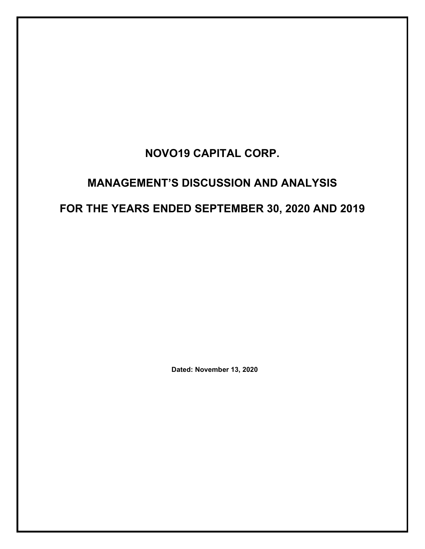# **NOVO19 CAPITAL CORP.**

# **MANAGEMENT'S DISCUSSION AND ANALYSIS FOR THE YEARS ENDED SEPTEMBER 30, 2020 AND 2019**

**Dated: November 13, 2020**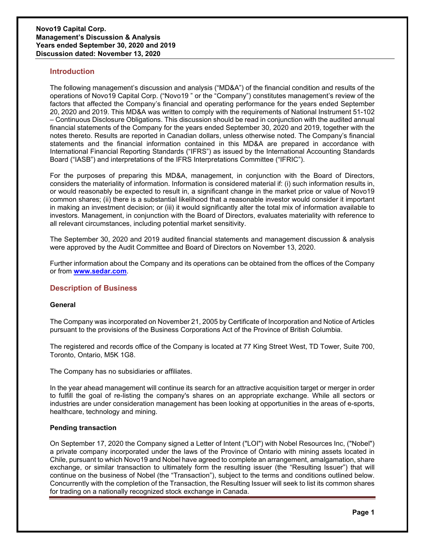# **Introduction**

The following management's discussion and analysis ("MD&A") of the financial condition and results of the operations of Novo19 Capital Corp. ("Novo19 " or the "Company") constitutes management's review of the factors that affected the Company's financial and operating performance for the years ended September 20, 2020 and 2019. This MD&A was written to comply with the requirements of National Instrument 51-102 – Continuous Disclosure Obligations. This discussion should be read in conjunction with the audited annual financial statements of the Company for the years ended September 30, 2020 and 2019, together with the notes thereto. Results are reported in Canadian dollars, unless otherwise noted. The Company's financial statements and the financial information contained in this MD&A are prepared in accordance with International Financial Reporting Standards ("IFRS") as issued by the International Accounting Standards Board ("IASB") and interpretations of the IFRS Interpretations Committee ("IFRIC").

For the purposes of preparing this MD&A, management, in conjunction with the Board of Directors, considers the materiality of information. Information is considered material if: (i) such information results in, or would reasonably be expected to result in, a significant change in the market price or value of Novo19 common shares; (ii) there is a substantial likelihood that a reasonable investor would consider it important in making an investment decision; or (iii) it would significantly alter the total mix of information available to investors. Management, in conjunction with the Board of Directors, evaluates materiality with reference to all relevant circumstances, including potential market sensitivity.

The September 30, 2020 and 2019 audited financial statements and management discussion & analysis were approved by the Audit Committee and Board of Directors on November 13, 2020.

Further information about the Company and its operations can be obtained from the offices of the Company or from **[www.sedar.com](http://www.sedar.com/)**.

# **Description of Business**

#### **General**

The Company was incorporated on November 21, 2005 by Certificate of Incorporation and Notice of Articles pursuant to the provisions of the Business Corporations Act of the Province of British Columbia.

The registered and records office of the Company is located at 77 King Street West, TD Tower, Suite 700, Toronto, Ontario, M5K 1G8.

The Company has no subsidiaries or affiliates.

In the year ahead management will continue its search for an attractive acquisition target or merger in order to fulfill the goal of re-listing the company's shares on an appropriate exchange. While all sectors or industries are under consideration management has been looking at opportunities in the areas of e-sports, healthcare, technology and mining.

#### **Pending transaction**

On September 17, 2020 the Company signed a Letter of Intent ("LOI") with Nobel Resources Inc, ("Nobel") a private company incorporated under the laws of the Province of Ontario with mining assets located in Chile, pursuant to which Novo19 and Nobel have agreed to complete an arrangement, amalgamation, share exchange, or similar transaction to ultimately form the resulting issuer (the "Resulting Issuer") that will continue on the business of Nobel (the "Transaction"), subject to the terms and conditions outlined below. Concurrently with the completion of the Transaction, the Resulting Issuer will seek to list its common shares for trading on a nationally recognized stock exchange in Canada.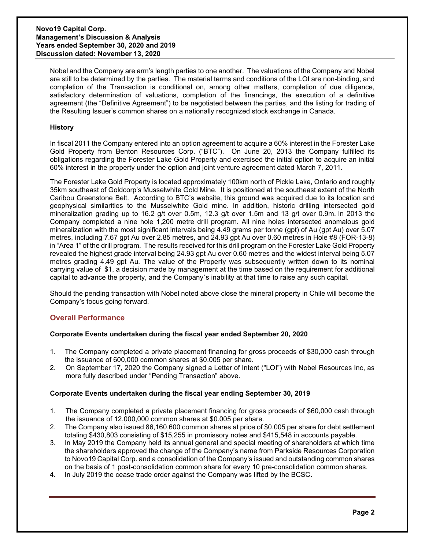Nobel and the Company are arm's length parties to one another. The valuations of the Company and Nobel are still to be determined by the parties. The material terms and conditions of the LOI are non-binding, and completion of the Transaction is conditional on, among other matters, completion of due diligence, satisfactory determination of valuations, completion of the financings, the execution of a definitive agreement (the "Definitive Agreement") to be negotiated between the parties, and the listing for trading of the Resulting Issuer's common shares on a nationally recognized stock exchange in Canada.

### **History**

In fiscal 2011 the Company entered into an option agreement to acquire a 60% interest in the Forester Lake Gold Property from Benton Resources Corp. ("BTC"). On June 20, 2013 the Company fulfilled its obligations regarding the Forester Lake Gold Property and exercised the initial option to acquire an initial 60% interest in the property under the option and joint venture agreement dated March 7, 2011.

The Forester Lake Gold Property is located approximately 100km north of Pickle Lake, Ontario and roughly 35km southeast of Goldcorp's Musselwhite Gold Mine. It is positioned at the southeast extent of the North Caribou Greenstone Belt. According to BTC's website, this ground was acquired due to its location and geophysical similarities to the Musselwhite Gold mine. In addition, historic drilling intersected gold mineralization grading up to 16.2 g/t over 0.5m, 12.3 g/t over 1.5m and 13 g/t over 0.9m. In 2013 the Company completed a nine hole 1,200 metre drill program. All nine holes intersected anomalous gold mineralization with the most significant intervals being 4.49 grams per tonne (gpt) of Au (gpt Au) over 5.07 metres, including 7.67 gpt Au over 2.85 metres, and 24.93 gpt Au over 0.60 metres in Hole #8 (FOR-13-8) in "Area 1" of the drill program. The results received for this drill program on the Forester Lake Gold Property revealed the highest grade interval being 24.93 gpt Au over 0.60 metres and the widest interval being 5.07 metres grading 4.49 gpt Au. The value of the Property was subsequently written down to its nominal carrying value of \$1, a decision made by management at the time based on the requirement for additional capital to advance the property, and the Company`s inability at that time to raise any such capital.

Should the pending transaction with Nobel noted above close the mineral property in Chile will become the Company's focus going forward.

# **Overall Performance**

# **Corporate Events undertaken during the fiscal year ended September 20, 2020**

- 1. The Company completed a private placement financing for gross proceeds of \$30,000 cash through the issuance of 600,000 common shares at \$0.005 per share.
- 2. On September 17, 2020 the Company signed a Letter of Intent ("LOI") with Nobel Resources Inc, as more fully described under "Pending Transaction" above.

#### **Corporate Events undertaken during the fiscal year ending September 30, 2019**

- 1. The Company completed a private placement financing for gross proceeds of \$60,000 cash through the issuance of 12,000,000 common shares at \$0.005 per share.
- 2. The Company also issued 86,160,600 common shares at price of \$0.005 per share for debt settlement totaling \$430,803 consisting of \$15,255 in promissory notes and \$415,548 in accounts payable.
- 3. In May 2019 the Company held its annual general and special meeting of shareholders at which time the shareholders approved the change of the Company's name from Parkside Resources Corporation to Novo19 Capital Corp. and a consolidation of the Company's issued and outstanding common shares on the basis of 1 post-consolidation common share for every 10 pre-consolidation common shares.
- 4. In July 2019 the cease trade order against the Company was lifted by the BCSC.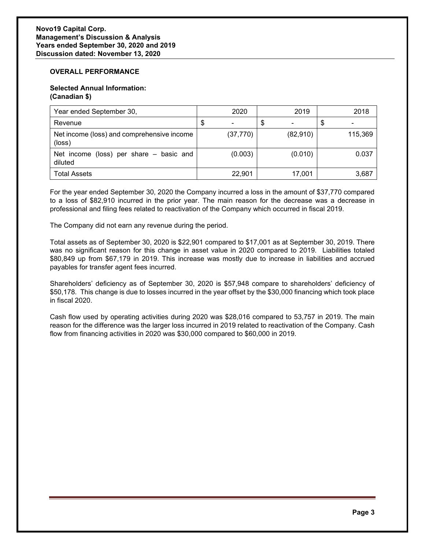#### **OVERALL PERFORMANCE**

#### **Selected Annual Information: (Canadian \$)**

| Year ended September 30,                             | 2020      | 2019                           |   | 2018    |
|------------------------------------------------------|-----------|--------------------------------|---|---------|
| Revenue                                              | \$        | \$<br>$\overline{\phantom{0}}$ | S |         |
| Net income (loss) and comprehensive income<br>(loss) | (37, 770) | (82,910)                       |   | 115,369 |
| Net income (loss) per share - basic and<br>diluted   | (0.003)   | (0.010)                        |   | 0.037   |
| <b>Total Assets</b>                                  | 22,901    | 17,001                         |   | 3,687   |

For the year ended September 30, 2020 the Company incurred a loss in the amount of \$37,770 compared to a loss of \$82,910 incurred in the prior year. The main reason for the decrease was a decrease in professional and filing fees related to reactivation of the Company which occurred in fiscal 2019.

The Company did not earn any revenue during the period.

Total assets as of September 30, 2020 is \$22,901 compared to \$17,001 as at September 30, 2019. There was no significant reason for this change in asset value in 2020 compared to 2019. Liabilities totaled \$80,849 up from \$67,179 in 2019. This increase was mostly due to increase in liabilities and accrued payables for transfer agent fees incurred.

Shareholders' deficiency as of September 30, 2020 is \$57,948 compare to shareholders' deficiency of \$50,178. This change is due to losses incurred in the year offset by the \$30,000 financing which took place in fiscal 2020.

Cash flow used by operating activities during 2020 was \$28,016 compared to 53,757 in 2019. The main reason for the difference was the larger loss incurred in 2019 related to reactivation of the Company. Cash flow from financing activities in 2020 was \$30,000 compared to \$60,000 in 2019.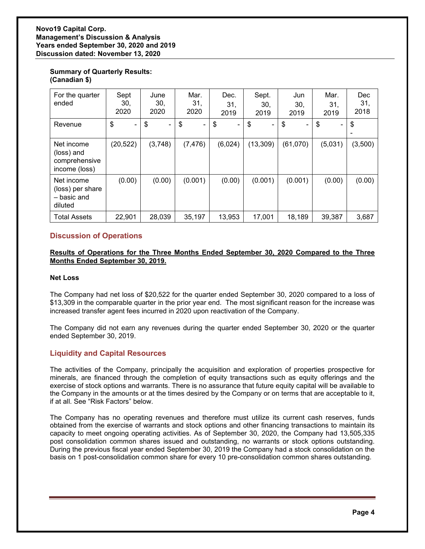# **Summary of Quarterly Results: (Canadian \$)**

| For the quarter<br>ended                                   | Sept<br>30.<br>2020 | June<br>30,<br>2020 | Mar.<br>31,<br>2020 | Dec.<br>31,<br>2019 | Sept.<br>30,<br>2019 | Jun<br>30,<br>2019 | Mar.<br>31,<br>2019 | <b>Dec</b><br>31,<br>2018 |
|------------------------------------------------------------|---------------------|---------------------|---------------------|---------------------|----------------------|--------------------|---------------------|---------------------------|
| Revenue                                                    | \$<br>۰             | \$<br>-             | \$<br>۰             | \$                  | \$<br>$\blacksquare$ | \$<br>۰            | \$<br>٠             | \$                        |
| Net income<br>(loss) and<br>comprehensive<br>income (loss) | (20, 522)           | (3,748)             | (7, 476)            | (6,024)             | (13, 309)            | (61,070)           | (5,031)             | (3,500)                   |
| Net income<br>(loss) per share<br>- basic and<br>diluted   | (0.00)              | (0.00)              | (0.001)             | (0.00)              | (0.001)              | (0.001)            | (0.00)              | (0.00)                    |
| <b>Total Assets</b>                                        | 22,901              | 28,039              | 35,197              | 13,953              | 17,001               | 18,189             | 39,387              | 3,687                     |

# **Discussion of Operations**

# **Results of Operations for the Three Months Ended September 30, 2020 Compared to the Three Months Ended September 30, 2019.**

#### **Net Loss**

The Company had net loss of \$20,522 for the quarter ended September 30, 2020 compared to a loss of \$13,309 in the comparable quarter in the prior year end. The most significant reason for the increase was increased transfer agent fees incurred in 2020 upon reactivation of the Company.

The Company did not earn any revenues during the quarter ended September 30, 2020 or the quarter ended September 30, 2019.

# **Liquidity and Capital Resources**

The activities of the Company, principally the acquisition and exploration of properties prospective for minerals, are financed through the completion of equity transactions such as equity offerings and the exercise of stock options and warrants. There is no assurance that future equity capital will be available to the Company in the amounts or at the times desired by the Company or on terms that are acceptable to it, if at all. See "Risk Factors" below.

The Company has no operating revenues and therefore must utilize its current cash reserves, funds obtained from the exercise of warrants and stock options and other financing transactions to maintain its capacity to meet ongoing operating activities. As of September 30, 2020, the Company had 13,505,335 post consolidation common shares issued and outstanding, no warrants or stock options outstanding. During the previous fiscal year ended September 30, 2019 the Company had a stock consolidation on the basis on 1 post-consolidation common share for every 10 pre-consolidation common shares outstanding.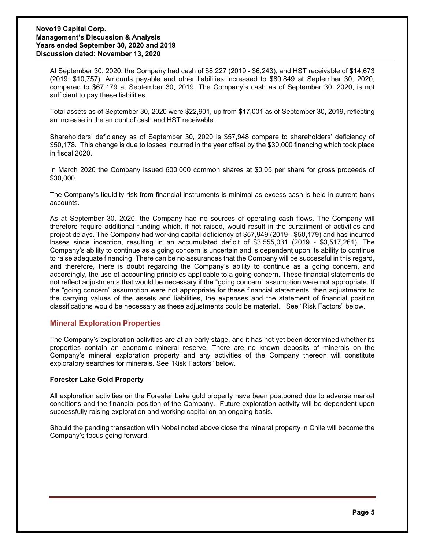At September 30, 2020, the Company had cash of \$8,227 (2019 - \$6,243), and HST receivable of \$14,673 (2019: \$10,757). Amounts payable and other liabilities increased to \$80,849 at September 30, 2020, compared to \$67,179 at September 30, 2019. The Company's cash as of September 30, 2020, is not sufficient to pay these liabilities.

Total assets as of September 30, 2020 were \$22,901, up from \$17,001 as of September 30, 2019, reflecting an increase in the amount of cash and HST receivable.

Shareholders' deficiency as of September 30, 2020 is \$57,948 compare to shareholders' deficiency of \$50,178. This change is due to losses incurred in the year offset by the \$30,000 financing which took place in fiscal 2020.

In March 2020 the Company issued 600,000 common shares at \$0.05 per share for gross proceeds of \$30,000.

The Company's liquidity risk from financial instruments is minimal as excess cash is held in current bank accounts.

As at September 30, 2020, the Company had no sources of operating cash flows. The Company will therefore require additional funding which, if not raised, would result in the curtailment of activities and project delays. The Company had working capital deficiency of \$57,949 (2019 - \$50,179) and has incurred losses since inception, resulting in an accumulated deficit of \$3,555,031 (2019 - \$3,517,261). The Company's ability to continue as a going concern is uncertain and is dependent upon its ability to continue to raise adequate financing. There can be no assurances that the Company will be successful in this regard, and therefore, there is doubt regarding the Company's ability to continue as a going concern, and accordingly, the use of accounting principles applicable to a going concern. These financial statements do not reflect adjustments that would be necessary if the "going concern" assumption were not appropriate. If the "going concern" assumption were not appropriate for these financial statements, then adjustments to the carrying values of the assets and liabilities, the expenses and the statement of financial position classifications would be necessary as these adjustments could be material. See "Risk Factors" below.

# **Mineral Exploration Properties**

The Company's exploration activities are at an early stage, and it has not yet been determined whether its properties contain an economic mineral reserve. There are no known deposits of minerals on the Company's mineral exploration property and any activities of the Company thereon will constitute exploratory searches for minerals. See "Risk Factors" below.

#### **Forester Lake Gold Property**

All exploration activities on the Forester Lake gold property have been postponed due to adverse market conditions and the financial position of the Company. Future exploration activity will be dependent upon successfully raising exploration and working capital on an ongoing basis.

Should the pending transaction with Nobel noted above close the mineral property in Chile will become the Company's focus going forward.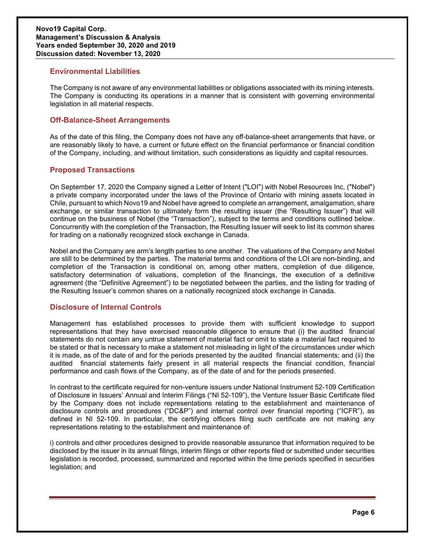# **Environmental Liabilities**

The Company is not aware of any environmental liabilities or obligations associated with its mining interests. The Company is conducting its operations in a manner that is consistent with governing environmental legislation in all material respects.

# **Off-Balance-Sheet Arrangements**

As of the date of this filing, the Company does not have any off-balance-sheet arrangements that have, or are reasonably likely to have, a current or future effect on the financial performance or financial condition of the Company, including, and without limitation, such considerations as liquidity and capital resources.

# **Proposed Transactions**

On September 17, 2020 the Company signed a Letter of Intent ("LOI") with Nobel Resources Inc, ("Nobel") a private company incorporated under the laws of the Province of Ontario with mining assets located in Chile, pursuant to which Novo19 and Nobel have agreed to complete an arrangement, amalgamation, share exchange, or similar transaction to ultimately form the resulting issuer (the "Resulting Issuer") that will continue on the business of Nobel (the "Transaction"), subject to the terms and conditions outlined below. Concurrently with the completion of the Transaction, the Resulting Issuer will seek to list its common shares for trading on a nationally recognized stock exchange in Canada.

Nobel and the Company are arm's length parties to one another. The valuations of the Company and Nobel are still to be determined by the parties. The material terms and conditions of the LOI are non-binding, and completion of the Transaction is conditional on, among other matters, completion of due diligence, satisfactory determination of valuations, completion of the financings, the execution of a definitive agreement (the "Definitive Agreement") to be negotiated between the parties, and the listing for trading of the Resulting Issuer's common shares on a nationally recognized stock exchange in Canada.

# **Disclosure of Internal Controls**

Management has established processes to provide them with sufficient knowledge to support representations that they have exercised reasonable diligence to ensure that (i) the audited financial statements do not contain any untrue statement of material fact or omit to state a material fact required to be stated or that is necessary to make a statement not misleading in light of the circumstances under which it is made, as of the date of and for the periods presented by the audited financial statements; and (ii) the audited financial statements fairly present in all material respects the financial condition, financial performance and cash flows of the Company, as of the date of and for the periods presented.

In contrast to the certificate required for non-venture issuers under National Instrument 52-109 Certification of Disclosure in Issuers' Annual and Interim Filings ("NI 52-109"), the Venture Issuer Basic Certificate filed by the Company does not include representations relating to the establishment and maintenance of disclosure controls and procedures ("DC&P") and internal control over financial reporting ("ICFR"), as defined in NI 52-109. In particular, the certifying officers filing such certificate are not making any representations relating to the establishment and maintenance of:

i) controls and other procedures designed to provide reasonable assurance that information required to be disclosed by the issuer in its annual filings, interim filings or other reports filed or submitted under securities legislation is recorded, processed, summarized and reported within the time periods specified in securities legislation; and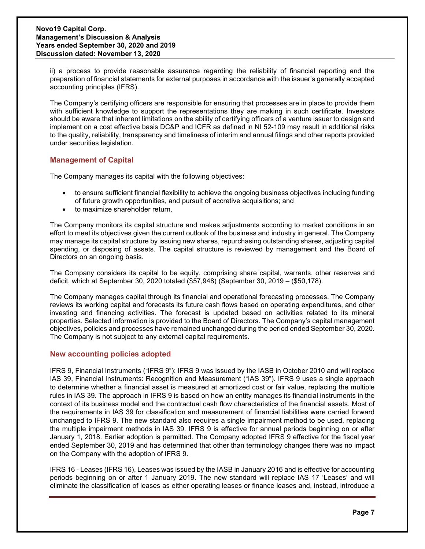ii) a process to provide reasonable assurance regarding the reliability of financial reporting and the preparation of financial statements for external purposes in accordance with the issuer's generally accepted accounting principles (IFRS).

The Company's certifying officers are responsible for ensuring that processes are in place to provide them with sufficient knowledge to support the representations they are making in such certificate. Investors should be aware that inherent limitations on the ability of certifying officers of a venture issuer to design and implement on a cost effective basis DC&P and ICFR as defined in NI 52-109 may result in additional risks to the quality, reliability, transparency and timeliness of interim and annual filings and other reports provided under securities legislation.

# **Management of Capital**

The Company manages its capital with the following objectives:

- to ensure sufficient financial flexibility to achieve the ongoing business objectives including funding of future growth opportunities, and pursuit of accretive acquisitions; and
- to maximize shareholder return.

The Company monitors its capital structure and makes adjustments according to market conditions in an effort to meet its objectives given the current outlook of the business and industry in general. The Company may manage its capital structure by issuing new shares, repurchasing outstanding shares, adjusting capital spending, or disposing of assets. The capital structure is reviewed by management and the Board of Directors on an ongoing basis.

The Company considers its capital to be equity, comprising share capital, warrants, other reserves and deficit, which at September 30, 2020 totaled (\$57,948) (September 30, 2019 – (\$50,178).

The Company manages capital through its financial and operational forecasting processes. The Company reviews its working capital and forecasts its future cash flows based on operating expenditures, and other investing and financing activities. The forecast is updated based on activities related to its mineral properties. Selected information is provided to the Board of Directors. The Company's capital management objectives, policies and processes have remained unchanged during the period ended September 30, 2020. The Company is not subject to any external capital requirements.

# **New accounting policies adopted**

IFRS 9, Financial Instruments ("IFRS 9"): IFRS 9 was issued by the IASB in October 2010 and will replace IAS 39, Financial Instruments: Recognition and Measurement ("IAS 39"). IFRS 9 uses a single approach to determine whether a financial asset is measured at amortized cost or fair value, replacing the multiple rules in IAS 39. The approach in IFRS 9 is based on how an entity manages its financial instruments in the context of its business model and the contractual cash flow characteristics of the financial assets. Most of the requirements in IAS 39 for classification and measurement of financial liabilities were carried forward unchanged to IFRS 9. The new standard also requires a single impairment method to be used, replacing the multiple impairment methods in IAS 39. IFRS 9 is effective for annual periods beginning on or after January 1, 2018. Earlier adoption is permitted. The Company adopted IFRS 9 effective for the fiscal year ended September 30, 2019 and has determined that other than terminology changes there was no impact on the Company with the adoption of IFRS 9.

IFRS 16 - Leases (IFRS 16), Leases was issued by the IASB in January 2016 and is effective for accounting periods beginning on or after 1 January 2019. The new standard will replace IAS 17 'Leases' and will eliminate the classification of leases as either operating leases or finance leases and, instead, introduce a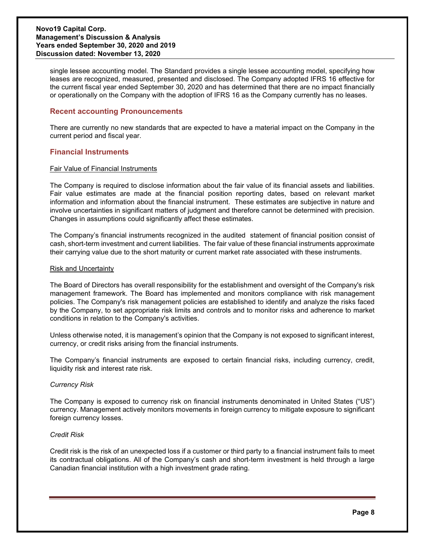single lessee accounting model. The Standard provides a single lessee accounting model, specifying how leases are recognized, measured, presented and disclosed. The Company adopted IFRS 16 effective for the current fiscal year ended September 30, 2020 and has determined that there are no impact financially or operationally on the Company with the adoption of IFRS 16 as the Company currently has no leases.

# **Recent accounting Pronouncements**

There are currently no new standards that are expected to have a material impact on the Company in the current period and fiscal year.

# **Financial Instruments**

#### Fair Value of Financial Instruments

The Company is required to disclose information about the fair value of its financial assets and liabilities. Fair value estimates are made at the financial position reporting dates, based on relevant market information and information about the financial instrument. These estimates are subjective in nature and involve uncertainties in significant matters of judgment and therefore cannot be determined with precision. Changes in assumptions could significantly affect these estimates.

The Company's financial instruments recognized in the audited statement of financial position consist of cash, short-term investment and current liabilities. The fair value of these financial instruments approximate their carrying value due to the short maturity or current market rate associated with these instruments.

#### Risk and Uncertainty

The Board of Directors has overall responsibility for the establishment and oversight of the Company's risk management framework. The Board has implemented and monitors compliance with risk management policies. The Company's risk management policies are established to identify and analyze the risks faced by the Company, to set appropriate risk limits and controls and to monitor risks and adherence to market conditions in relation to the Company's activities.

Unless otherwise noted, it is management's opinion that the Company is not exposed to significant interest, currency, or credit risks arising from the financial instruments.

The Company's financial instruments are exposed to certain financial risks, including currency, credit, liquidity risk and interest rate risk.

#### *Currency Risk*

The Company is exposed to currency risk on financial instruments denominated in United States ("US") currency. Management actively monitors movements in foreign currency to mitigate exposure to significant foreign currency losses.

#### *Credit Risk*

Credit risk is the risk of an unexpected loss if a customer or third party to a financial instrument fails to meet its contractual obligations. All of the Company's cash and short-term investment is held through a large Canadian financial institution with a high investment grade rating.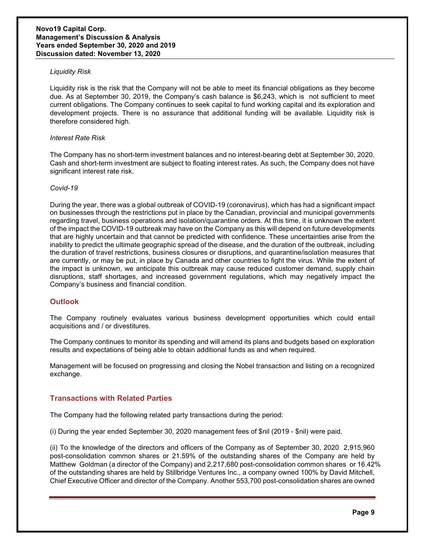#### *Liquidity Risk*

Liquidity risk is the risk that the Company will not be able to meet its financial obligations as they become due. As at September 30, 2019, the Company's cash balance is \$6,243, which is not sufficient to meet current obligations. The Company continues to seek capital to fund working capital and its exploration and development projects. There is no assurance that additional funding will be available. Liquidity risk is therefore considered high.

#### *Interest Rate Risk*

The Company has no short-term investment balances and no interest-bearing debt at September 30, 2020. Cash and short-term investment are subject to floating interest rates. As such, the Company does not have significant interest rate risk.

#### *Covid-19*

During the year, there was a global outbreak of COVID-19 (coronavirus), which has had a significant impact on businesses through the restrictions put in place by the Canadian, provincial and municipal governments regarding travel, business operations and isolation/quarantine orders. At this time, it is unknown the extent of the impact the COVID-19 outbreak may have on the Company as this will depend on future developments that are highly uncertain and that cannot be predicted with confidence. These uncertainties arise from the inability to predict the ultimate geographic spread of the disease, and the duration of the outbreak, including the duration of travel restrictions, business closures or disruptions, and quarantine/isolation measures that are currently, or may be put, in place by Canada and other countries to fight the virus. While the extent of the impact is unknown, we anticipate this outbreak may cause reduced customer demand, supply chain disruptions, staff shortages, and increased government regulations, which may negatively impact the Company's business and financial condition.

#### **Outlook**

The Company routinely evaluates various business development opportunities which could entail acquisitions and / or divestitures.

The Company continues to monitor its spending and will amend its plans and budgets based on exploration results and expectations of being able to obtain additional funds as and when required.

Management will be focused on progressing and closing the Nobel transaction and listing on a recognized exchange.

# **Transactions with Related Parties**

The Company had the following related party transactions during the period:

(i) During the year ended September 30, 2020 management fees of \$nil (2019 - \$nil) were paid.

(ii) To the knowledge of the directors and officers of the Company as of September 30, 2020 2,915,960 post-consolidation common shares or 21.59% of the outstanding shares of the Company are held by Matthew Goldman (a director of the Company) and 2,217,680 post-consolidation common shares or 16.42% of the outstanding shares are held by Stillbridge Ventures Inc., a company owned 100% by David Mitchell, Chief Executive Officer and director of the Company. Another 553,700 post-consolidation shares are owned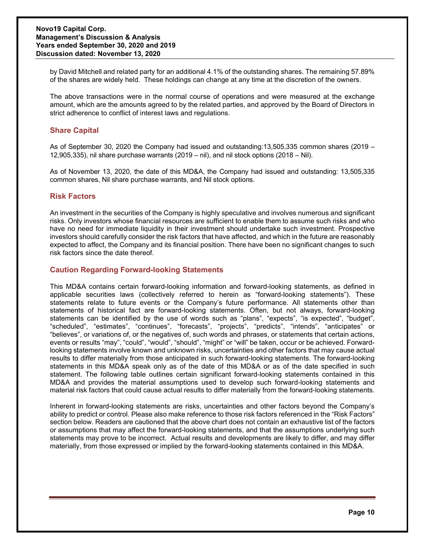by David Mitchell and related party for an additional 4.1% of the outstanding shares. The remaining 57.89% of the shares are widely held. These holdings can change at any time at the discretion of the owners.

The above transactions were in the normal course of operations and were measured at the exchange amount, which are the amounts agreed to by the related parties, and approved by the Board of Directors in strict adherence to conflict of interest laws and regulations.

# **Share Capital**

As of September 30, 2020 the Company had issued and outstanding:13,505,335 common shares (2019 – 12,905,335), nil share purchase warrants (2019 – nil), and nil stock options (2018 – Nil).

As of November 13, 2020, the date of this MD&A, the Company had issued and outstanding: 13,505,335 common shares, Nil share purchase warrants, and Nil stock options.

# **Risk Factors**

An investment in the securities of the Company is highly speculative and involves numerous and significant risks. Only investors whose financial resources are sufficient to enable them to assume such risks and who have no need for immediate liquidity in their investment should undertake such investment. Prospective investors should carefully consider the risk factors that have affected, and which in the future are reasonably expected to affect, the Company and its financial position. There have been no significant changes to such risk factors since the date thereof.

#### **Caution Regarding Forward-looking Statements**

This MD&A contains certain forward-looking information and forward-looking statements, as defined in applicable securities laws (collectively referred to herein as "forward-looking statements"). These statements relate to future events or the Company's future performance. All statements other than statements of historical fact are forward-looking statements. Often, but not always, forward-looking statements can be identified by the use of words such as "plans", "expects", "is expected", "budget", "scheduled", "estimates", "continues", "forecasts", "projects", "predicts", "intends", "anticipates" or "believes", or variations of, or the negatives of, such words and phrases, or statements that certain actions, events or results "may", "could", "would", "should", "might" or "will" be taken, occur or be achieved. Forwardlooking statements involve known and unknown risks, uncertainties and other factors that may cause actual results to differ materially from those anticipated in such forward-looking statements. The forward-looking statements in this MD&A speak only as of the date of this MD&A or as of the date specified in such statement. The following table outlines certain significant forward-looking statements contained in this MD&A and provides the material assumptions used to develop such forward-looking statements and material risk factors that could cause actual results to differ materially from the forward-looking statements.

Inherent in forward-looking statements are risks, uncertainties and other factors beyond the Company's ability to predict or control. Please also make reference to those risk factors referenced in the "Risk Factors" section below. Readers are cautioned that the above chart does not contain an exhaustive list of the factors or assumptions that may affect the forward-looking statements, and that the assumptions underlying such statements may prove to be incorrect. Actual results and developments are likely to differ, and may differ materially, from those expressed or implied by the forward-looking statements contained in this MD&A.